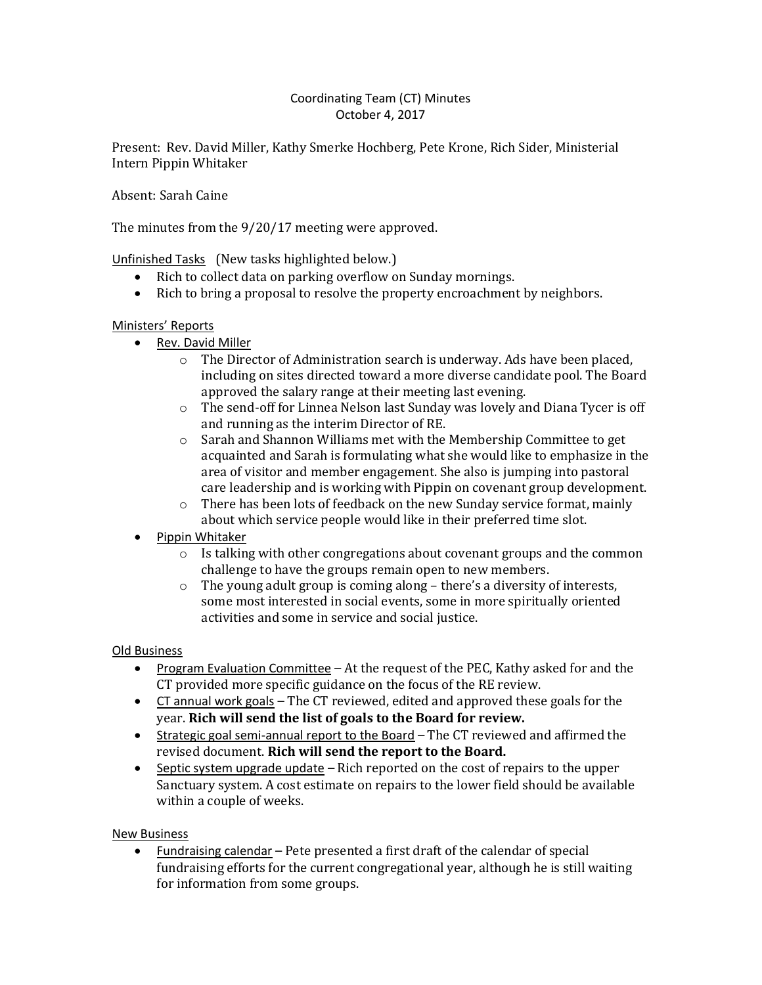### Coordinating Team (CT) Minutes October 4, 2017

Present: Rev. David Miller, Kathy Smerke Hochberg, Pete Krone, Rich Sider, Ministerial Intern Pippin Whitaker

Absent: Sarah Caine

The minutes from the 9/20/17 meeting were approved.

# Unfinished Tasks (New tasks highlighted below.)

- Rich to collect data on parking overflow on Sunday mornings.
- Rich to bring a proposal to resolve the property encroachment by neighbors.

## Ministers' Reports

- Rev. David Miller
	- o The Director of Administration search is underway. Ads have been placed, including on sites directed toward a more diverse candidate pool. The Board approved the salary range at their meeting last evening.
	- $\circ$  The send-off for Linnea Nelson last Sunday was lovely and Diana Tycer is off and running as the interim Director of RE.
	- o Sarah and Shannon Williams met with the Membership Committee to get acquainted and Sarah is formulating what she would like to emphasize in the area of visitor and member engagement. She also is jumping into pastoral care leadership and is working with Pippin on covenant group development.
	- $\circ$  There has been lots of feedback on the new Sunday service format, mainly about which service people would like in their preferred time slot.
- Pippin Whitaker
	- o Is talking with other congregations about covenant groups and the common challenge to have the groups remain open to new members.
	- o The young adult group is coming along there's a diversity of interests, some most interested in social events, some in more spiritually oriented activities and some in service and social justice.

## Old Business

- Program Evaluation Committee At the request of the PEC, Kathy asked for and the CT provided more specific guidance on the focus of the RE review.
- CT annual work goals The CT reviewed, edited and approved these goals for the year. **Rich will send the list of goals to the Board for review.**
- Strategic goal semi-annual report to the Board The CT reviewed and affirmed the revised document. **Rich will send the report to the Board.**
- $\bullet$  Septic system upgrade update Rich reported on the cost of repairs to the upper Sanctuary system. A cost estimate on repairs to the lower field should be available within a couple of weeks.

## New Business

 Fundraising calendar – Pete presented a first draft of the calendar of special fundraising efforts for the current congregational year, although he is still waiting for information from some groups.